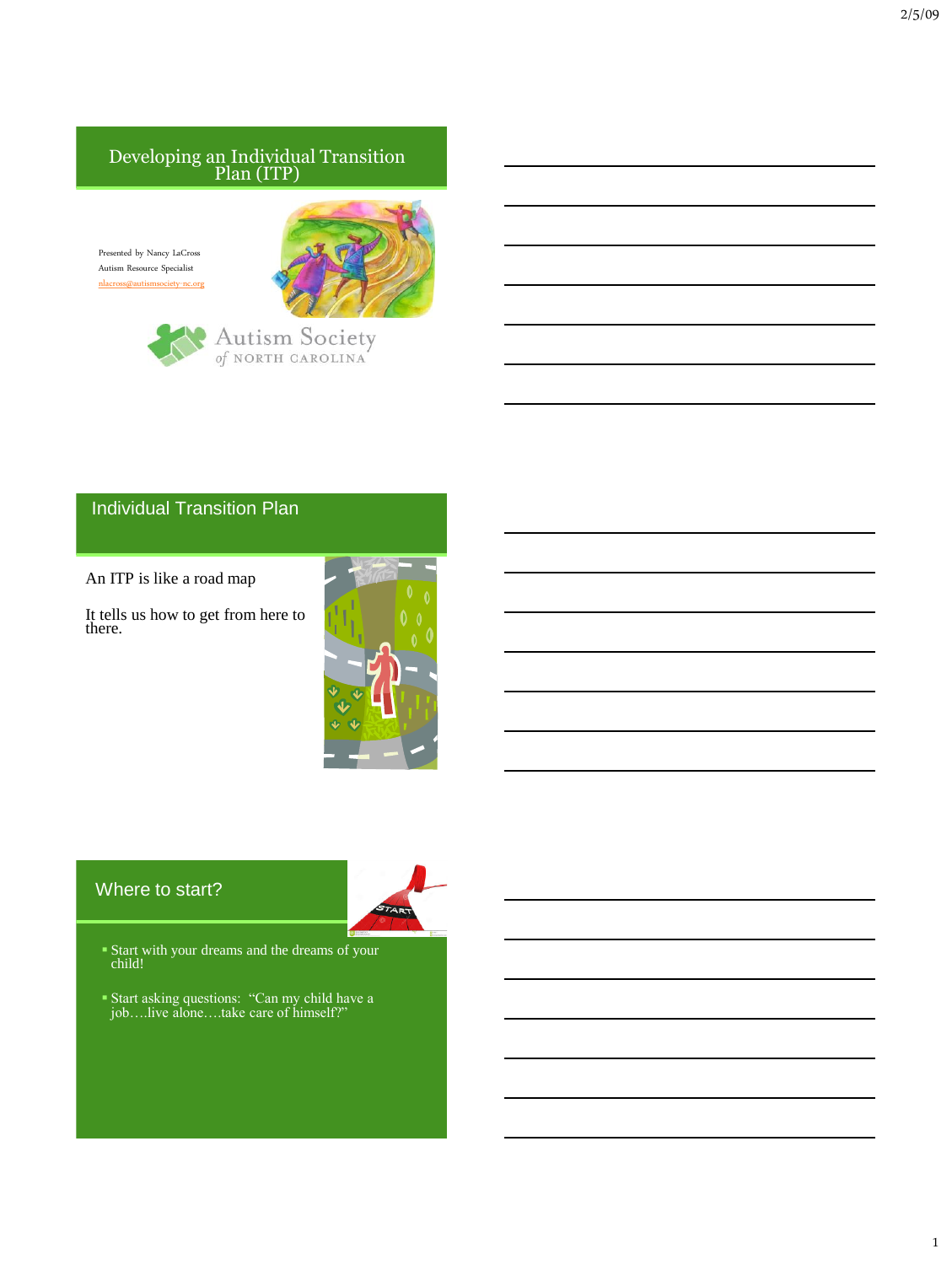### Developing an Individual Transition Plan (ITP)

Presented by Nancy LaCross Autism Resource Specialist [nlacross@autismsociety-nc.org](mailto:nlacross@autismsociety-nc.org)





## Individual Transition Plan

An ITP is like a road map

It tells us how to get from here to there.



# Where to start?



- Start with your dreams and the dreams of your child!
- Start asking questions: "Can my child have a job….live alone….take care of himself?"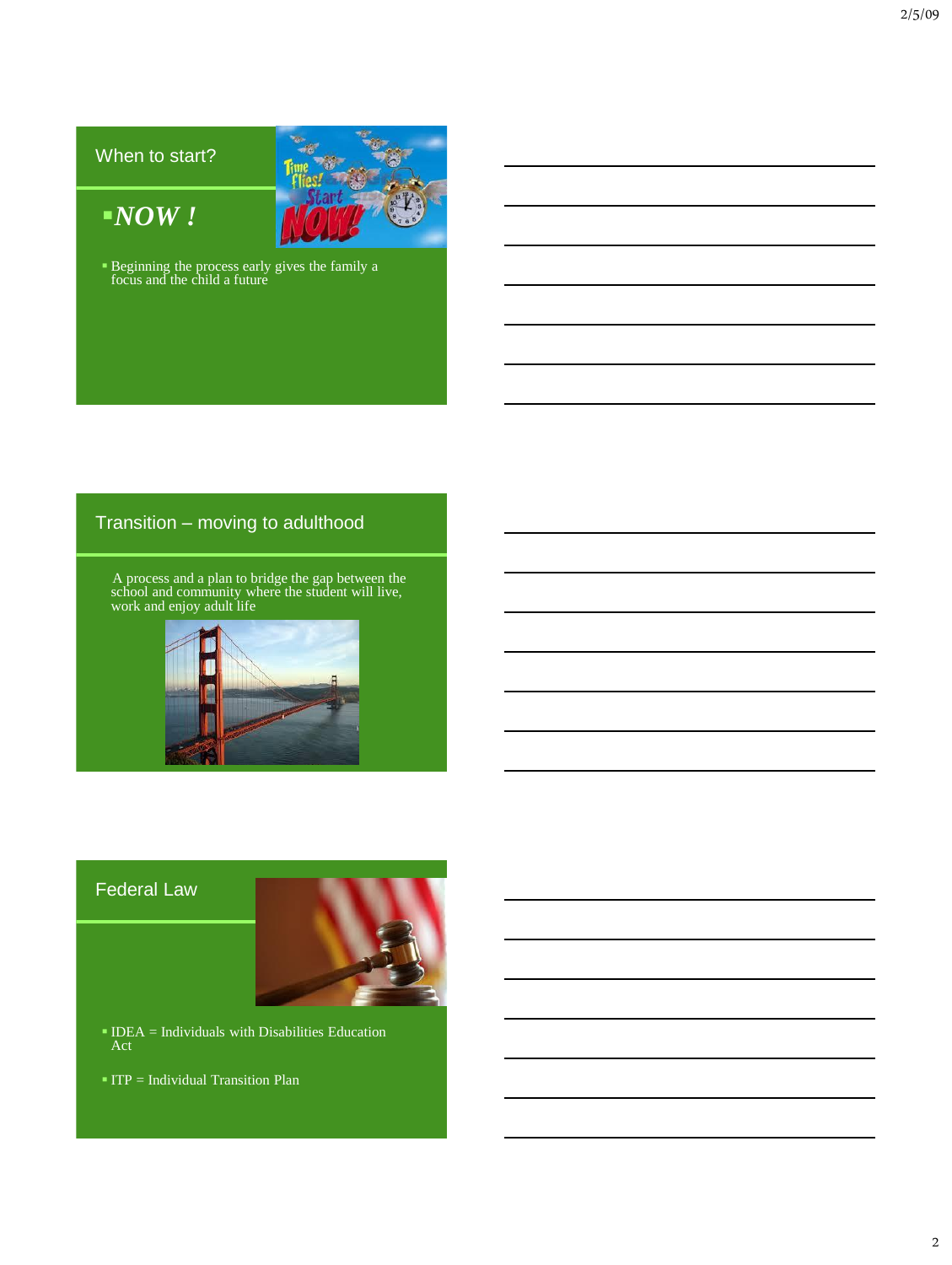# When to start?

*NOW !*



Beginning the process early gives the family a focus and the child a future

# Transition – moving to adulthood

 A process and a plan to bridge the gap between the school and community where the student will live, work and enjoy adult life



# Federal Law



- $IDEA = Individuals with Disabilities Education  
Act$
- $ITP = Individual Transition Plan$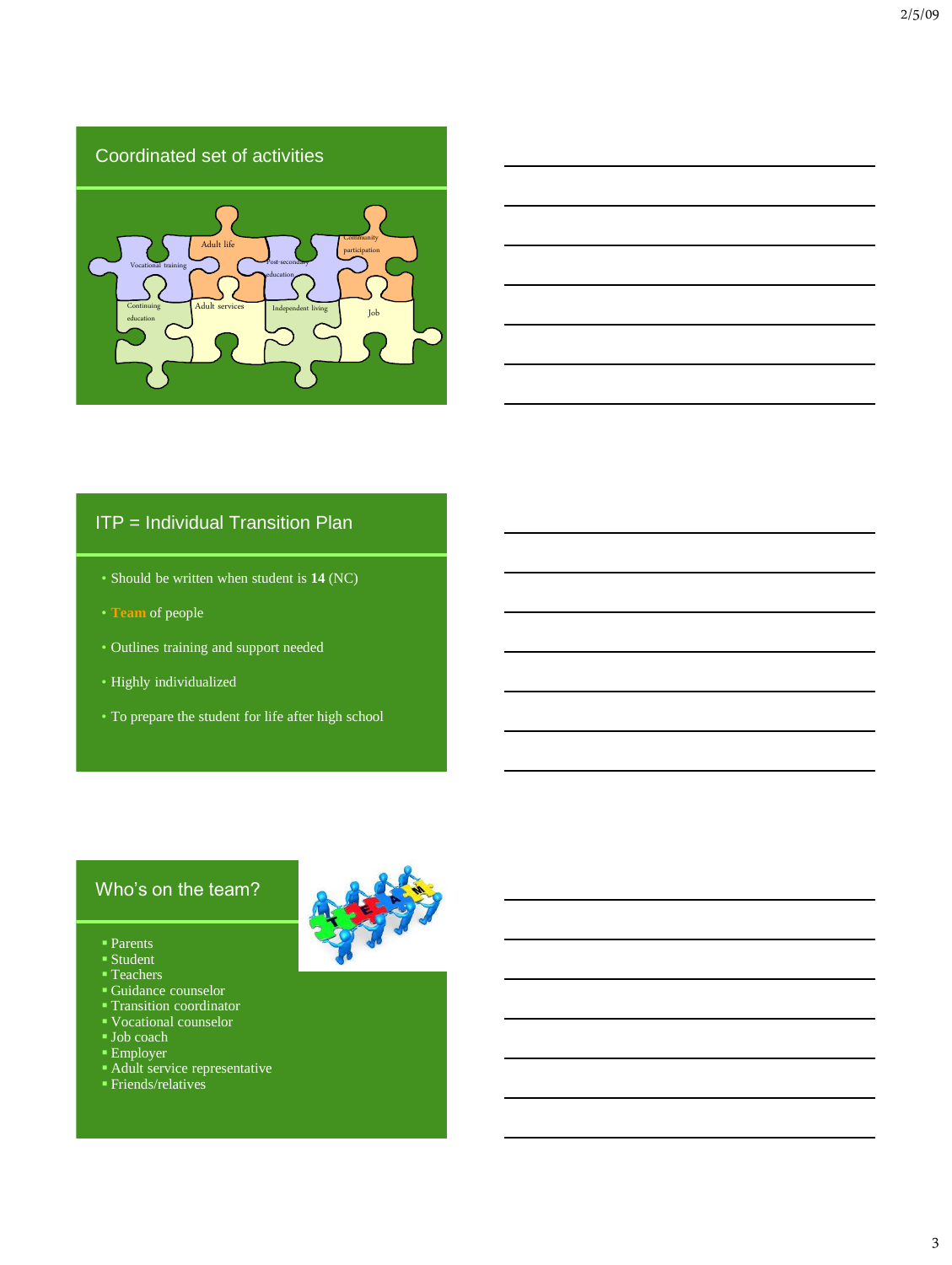# Coordinated set of activities



# ITP = Individual Transition Plan

- Should be written when student is **14** (NC)
- **Team** of people
- Outlines training and support needed
- Highly individualized
- To prepare the student for life after high school

# Who's on the team?

- Parents
- Student
- Teachers
- Guidance counselor
- Transition coordinator
- Vocational counselor
- Job coach
- Employer
- Adult service representative
- Friends/relatives

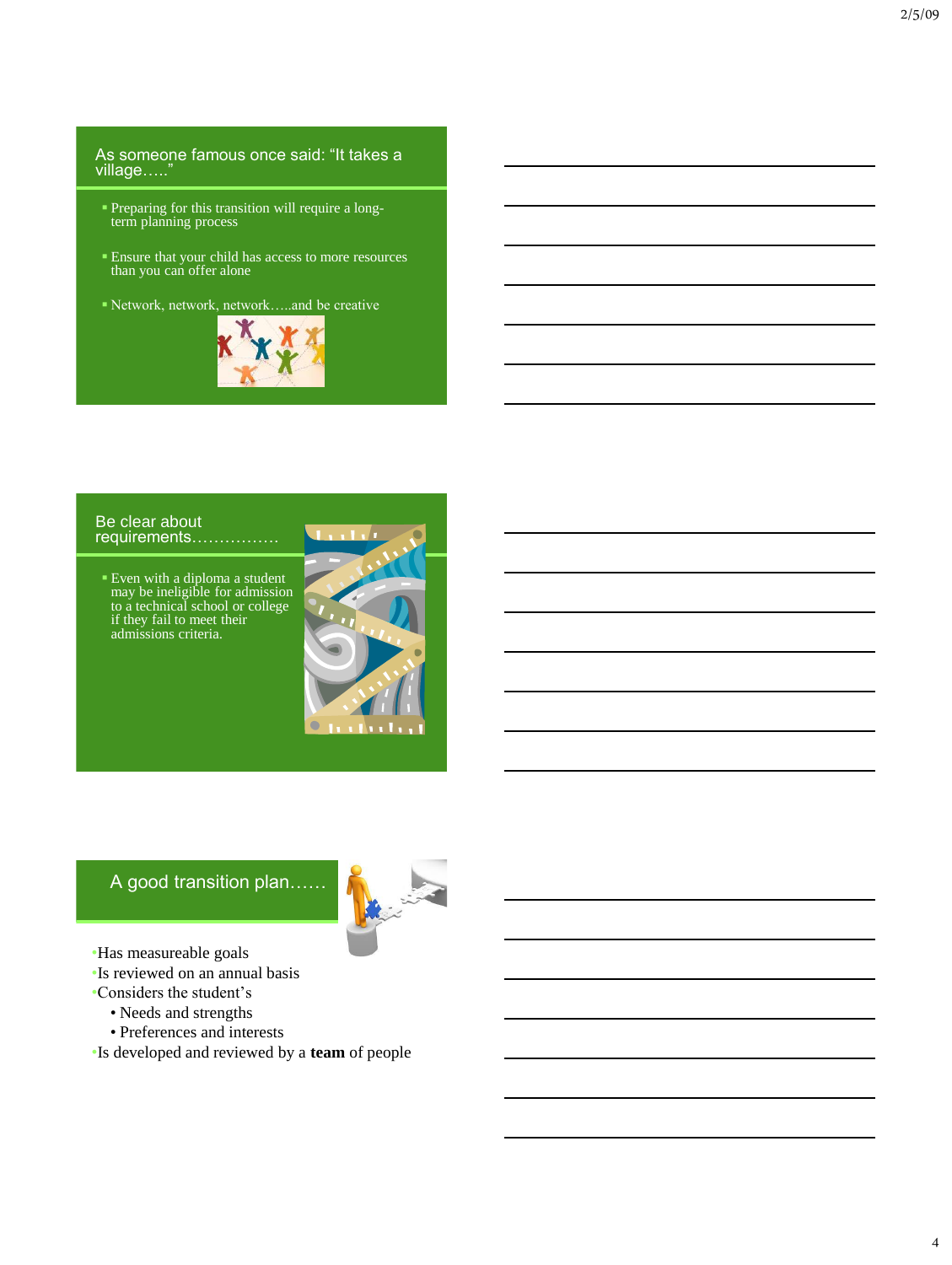#### As someone famous once said: "It takes a village….."

- Preparing for this transition will require a longterm planning process
- Ensure that your child has access to more resources than you can offer alone
- Network, network, network…..and be creative



#### Be clear about requirements…………….

 Even with a diploma a student may be ineligible for admission to a technical school or college if they fail to meet their admissions criteria.



# A good transition plan……



- •Has measureable goals
- •Is reviewed on an annual basis
- •Considers the student's
	- Needs and strengths
	- Preferences and interests
- •Is developed and reviewed by a **team** of people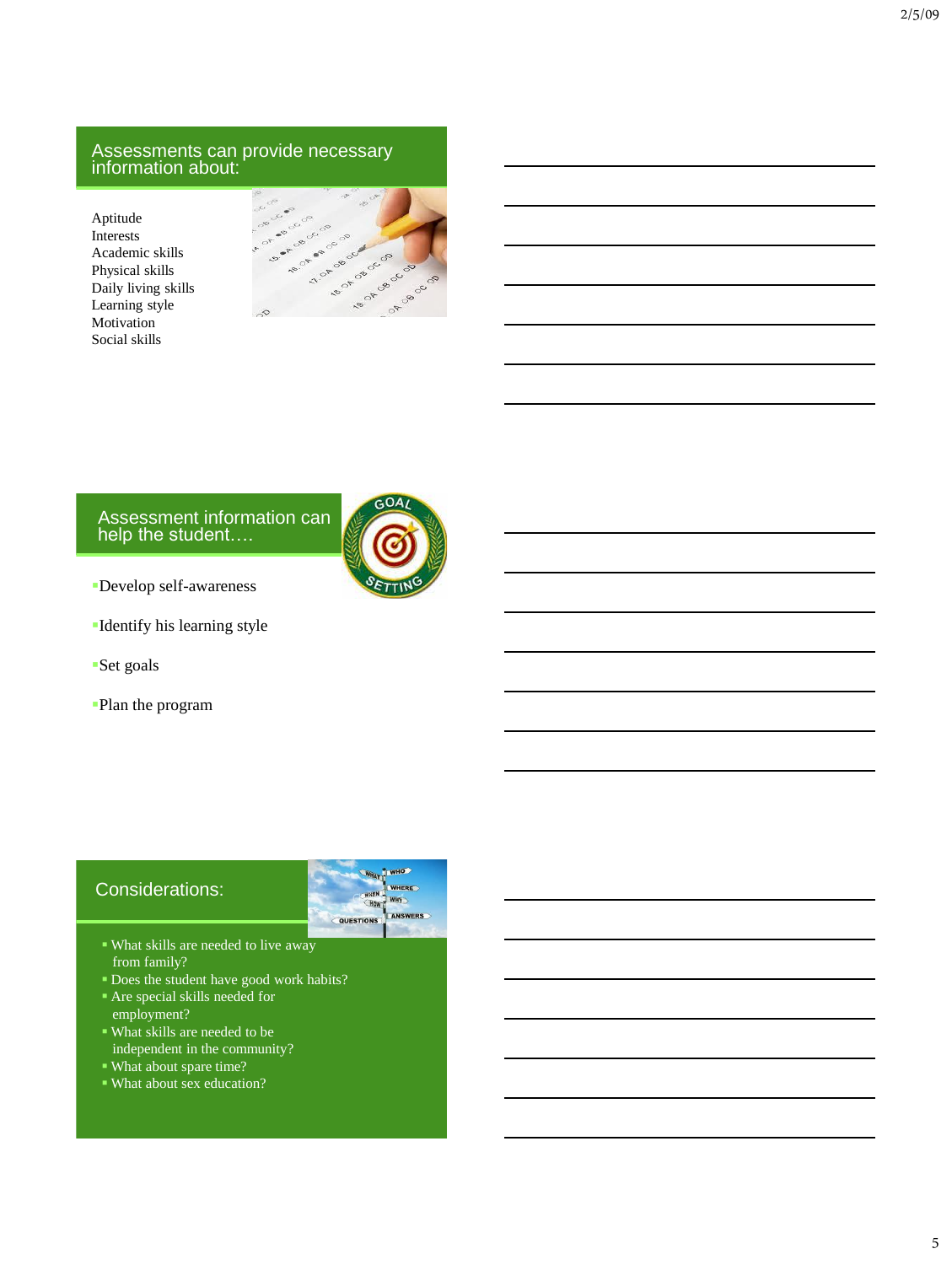#### Assessments can provide necessary information about:

Aptitude Interests Academic skills Physical skills Daily living skills Learning style Motivation<sup>1</sup> Social skills



#### Assessment information can help the student….



- Develop self-awareness
- Identify his learning style
- Set goals
- Plan the program



- from family?
- Does the student have good work habits?
- Are special skills needed for employment?
- What skills are needed to be independent in the community?
- What about spare time?
- What about sex education?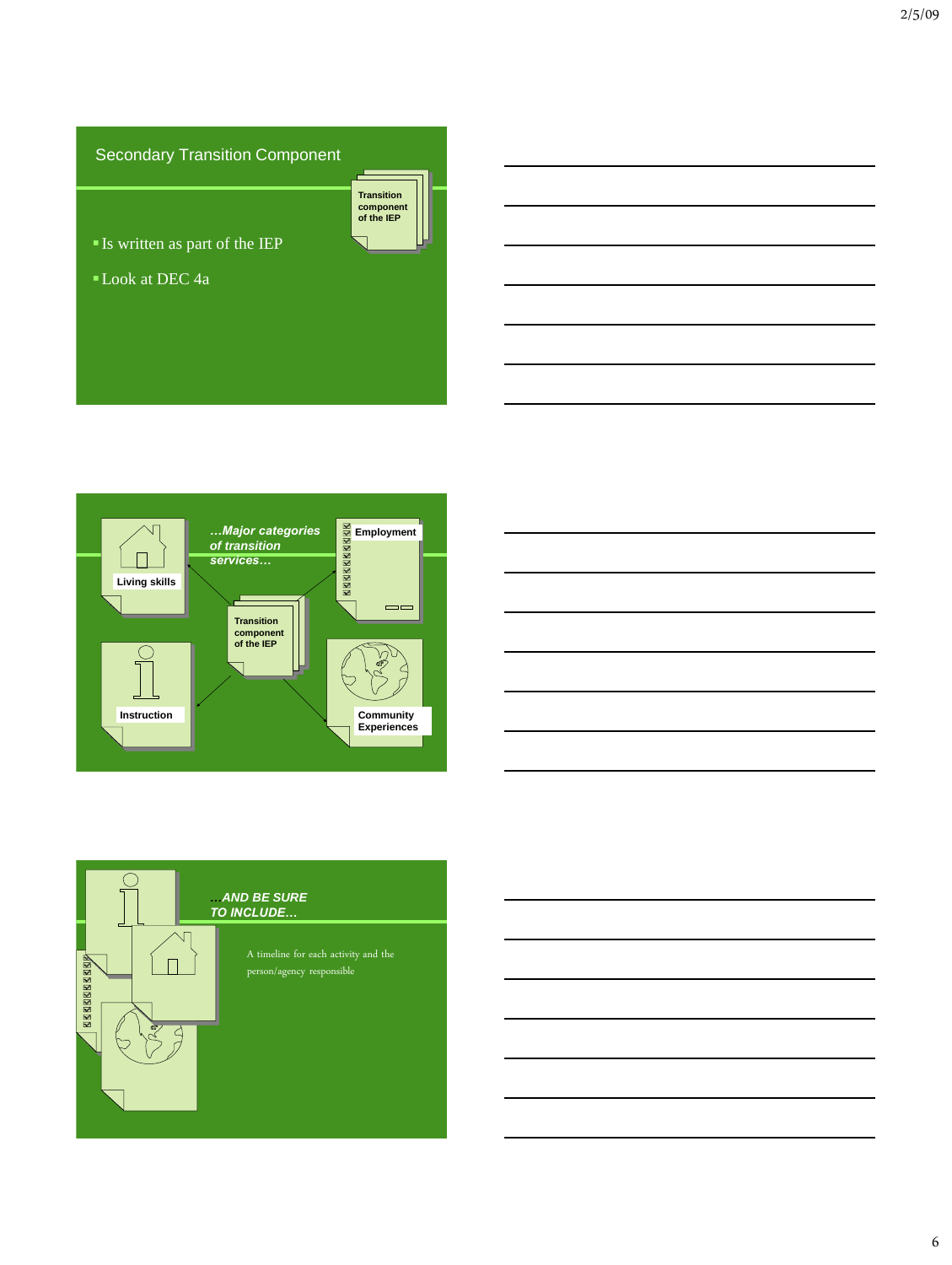# Secondary Transition Component



Is written as part of the IEP

Look at DEC 4a





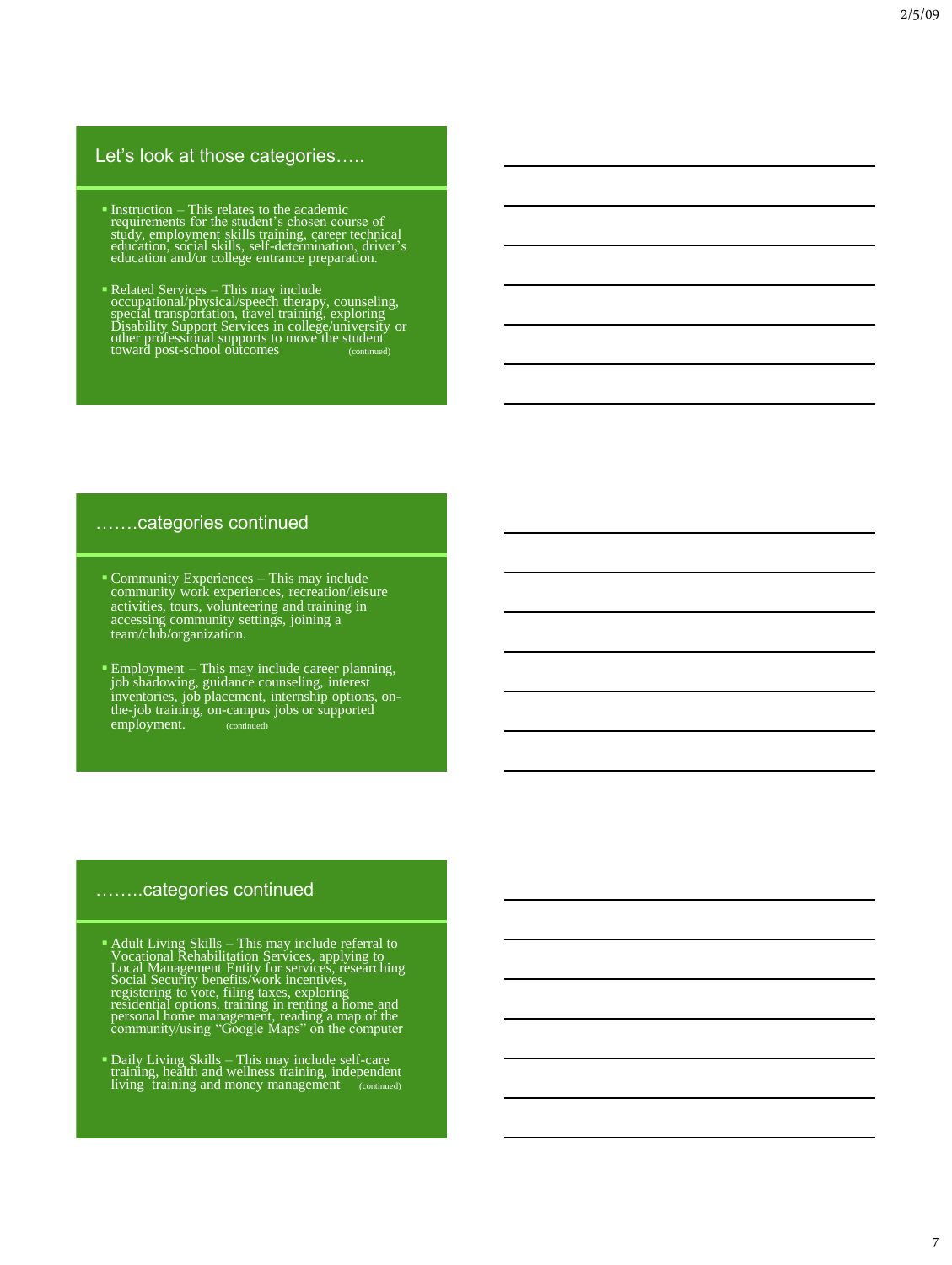### Let's look at those categories.....

- **Instruction This relates to the academic<br>requirements for the student's chosen course of<br>study, employment skills, training, career technical<br>ducation, social skills, self-determination, driver's<br>education and/or colleg**
- **Example 1** Related Services This may include<br>occupational/physical/speech therapy, counseling,<br>special transportation, travel training, exploring<br>Disability Support Services in college/university or<br>other professional s

#### …….categories continued

- Community Experiences This may include community work experiences, recreation/leisure activities, tours, volunteering and training in accessing community settings, joining a team/club/organization.
- Employment This may include career planning, job shadowing, guidance counseling, interest inventories, job placement, internship options, onthe-job training, on-campus jobs or supported employment. (continued)

#### ……..categories continued

- **Adult Living Skills This may include referral to**<br>Vocational Rehabilitation Services, applying to<br>Local Management Entity for services, researching<br>Social Security benefits/work incentives,<br>registering to vote, filing t
- Daily Living Skills This may include self-care training, health and wellness training, independent living training and money management (continued)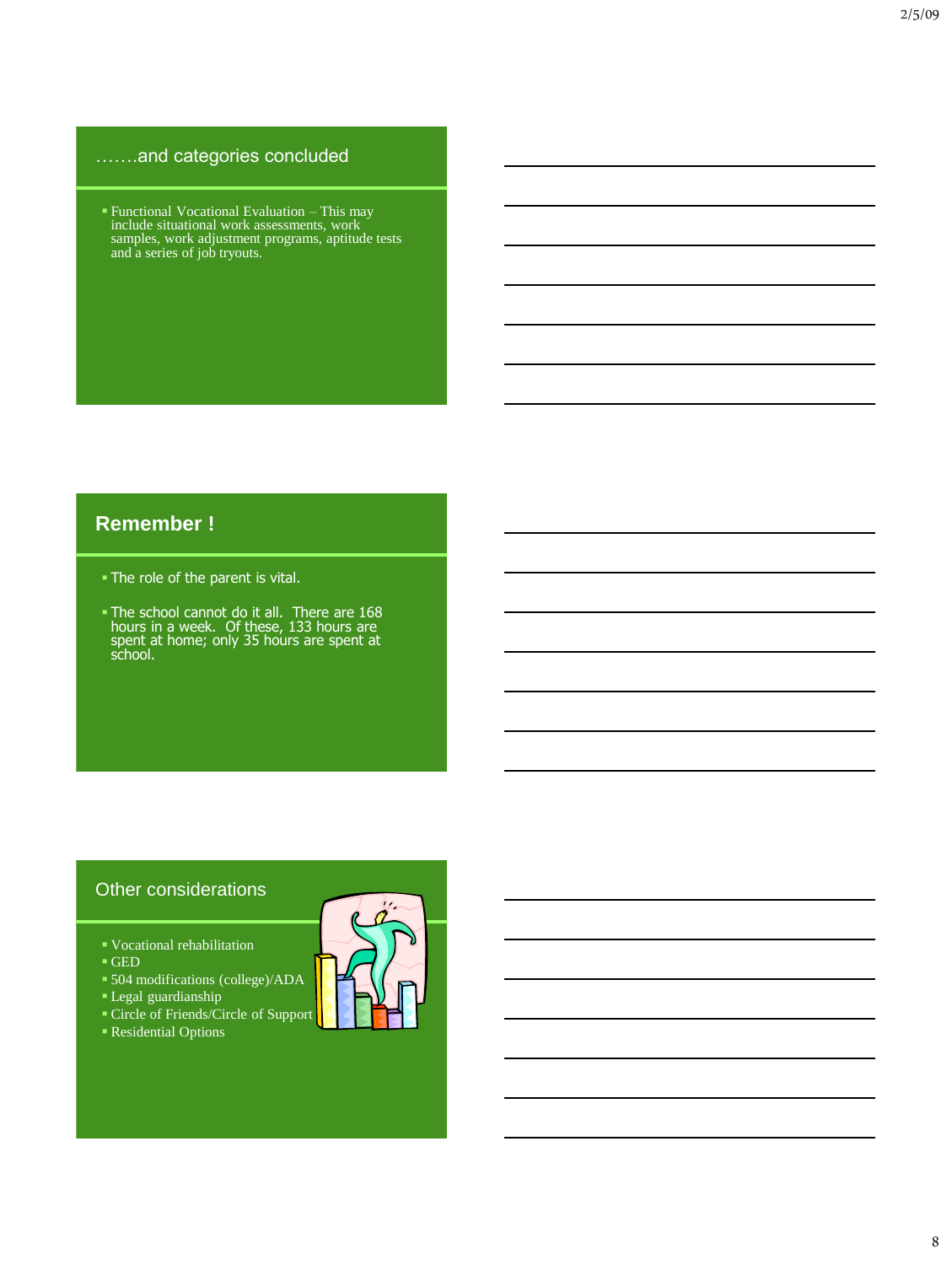# …….and categories concluded

 Functional Vocational Evaluation – This may include situational work assessments, work samples, work adjustment programs, aptitude tests and a series of job tryouts.

# **Remember !**

- The role of the parent is vital.
- The school cannot do it all. There are 168 hours in a week. Of these, 133 hours are spent at home; only 35 hours are spent at school.

# Other considerations

- Vocational rehabilitation
- $\overline{\phantom{a}}$  GED
- 504 modifications (college)/ADA
- Legal guardianship
- Circle of Friends/Circle of Support
- Residential Options

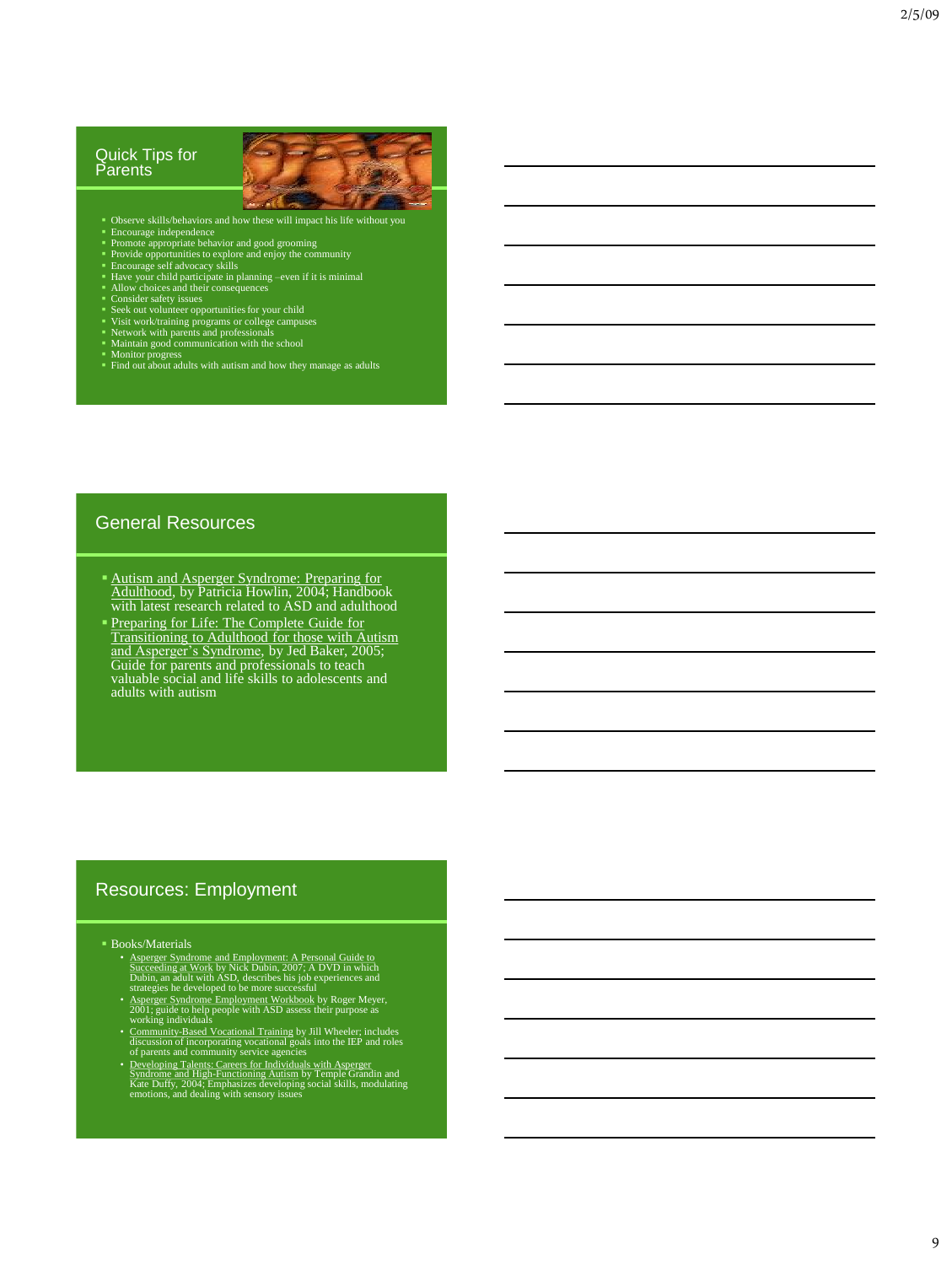#### Quick Tips for **Parents**



- 
- 
- 
- 
- 
- 
- 
- 
- 
- 
- 
- Doserve skills/behaviors and how these will impact his life without you<br>
 Brocurage independence<br>
 Provide opportunities to explore and enjoy the community<br>
 Provide opportunities to explore and enjoy the community<br>
•

#### General Resources

- **Autism and Asperger Syndrome: Preparing for** Adulthood, by Patricia Howlin, 2004; Handbook with latest research related to ASD and adulthood
- **Preparing for Life: The Complete Guide for** Transitioning to Adulthood for those with Autism and Asperger's Syndrome, by Jed Baker, 2005; Guide for parents and professionals to teach valuable social and life skills to adolescents and adults with autism

#### Resources: Employment

- Books/Materials
	- A sperger Syndrome and Employment: A Personal Guide to<br>Succeeding at Work by Nick Dubin, 2007; A DVD in which<br>Dubin, an adult with ASD, describes his job experiences and<br>strategies he developed to be more successful<br> $\blacktriangle$
	-
	-
	- Community-Based Vocational Training by Jill Wheeler; includes<br>discussion of incorporating vocational goals into the IEP and roles<br>of parents and community service agencies<br>of parents and community service agencies<br>Syndrome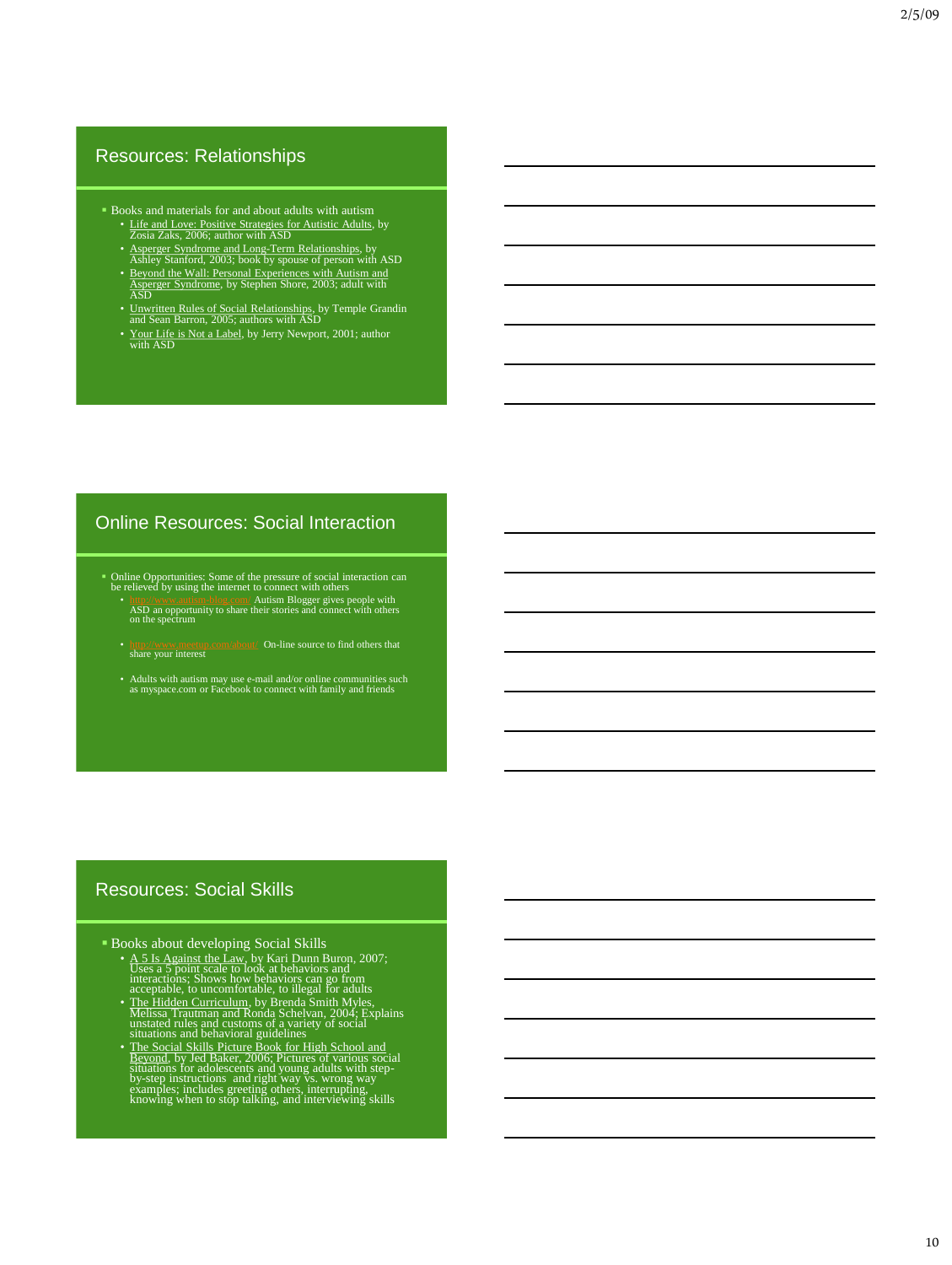### Resources: Relationships

- **Books and materials for and about adults with autism** 
	-
	-
	- <u>Life and Love: Positive Strategies for Autistic Adults</u>, by<br> *Zosia Zaks, 2006*; author with ASD<br>
	 Asperger Syndrome and Long-Term Relationships, by<br>
	Ashley Stanford, 2003; book by spouse of person with ASD<br>
	 <u>Beyond </u>
	- Unwritten Rules of Social Relationships, by Temple Grandin and Sean Barron, 2005; authors with ASD
	- Your Life is Not a Label, by Jerry Newport, 2001; author with ASD

### Online Resources: Social Interaction

- Online Opportunities: Some of the pressure of social interaction can be relieved by using the internet to connect with others
	- <http://www.autism-blog.com/> Autism Blogger gives people with ASD an opportunity to share their stories and connect with others on the spectrum
	- <http://www.meetup.com/about/>On-line source to find others that share your interest
	- Adults with autism may use e-mail and/or online communities such as myspace.com or Facebook to connect with family and friends

# Resources: Social Skills

- -
	-
- **Books about developing Social Skills**<br>
 A 51<sub>8</sub> Against the Law, by Kari Dunn Buron, 2007;<br>
Uses a 5 point scale to look at behaviors and<br>
interactions: Shows how behaviors can go from<br>
acceptable, to uncomfortable, to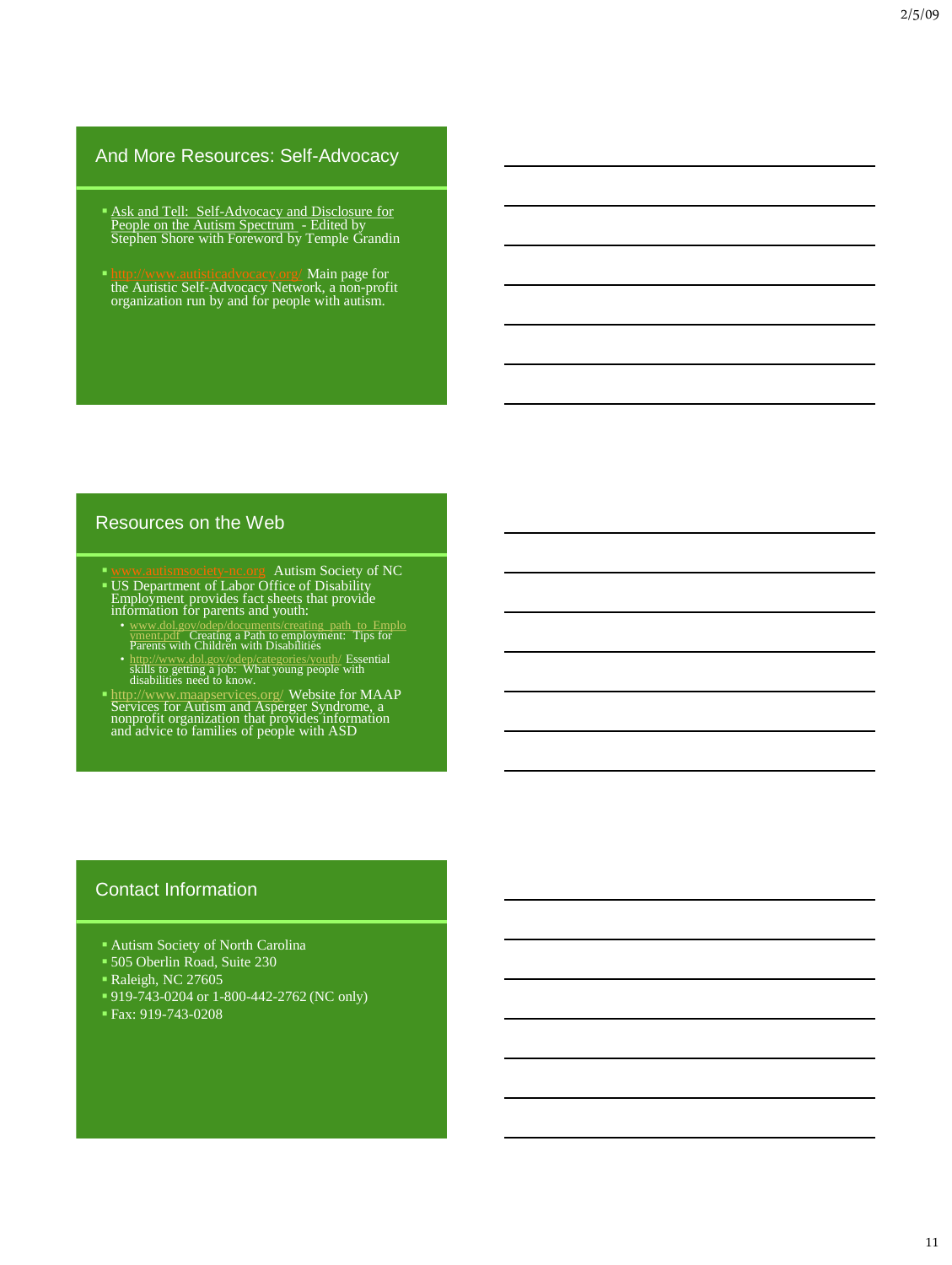# And More Resources: Self-Advocacy

- **Ask and Tell: Self-Advocacy and Disclosure for** People on the Autism Spectrum - Edited by<br>Stephen Shore with Foreword by Temple Grandin
- <http://www.autisticadvocacy.org/> Main page for the Autistic Self-Advocacy Network, a non-profit organization run by and for people with autism.

# Resources on the Web

- Autism Society of NC
- US Department of Labor Office of Disability Employment provides fact sheets that provide information for parents and youth:
	- [www.dol.gov/odep/documents/creating\\_path\\_to\\_Emplo](http://www.dol.gov/odep/documents/creating_path_to_Employment.pdf)[yment.pdf](http://www.dol.gov/odep/documents/creating_path_to_Employment.pdf) Creating a Path to employment: Tips for Parents with Children with Disabilities
	- <http://www.dol.gov/odep/categories/youth/> Essential skills to getting a job: What young people with disabilities need to know.
- <http://www.maapservices.org/> Website for MAAP Services for Autism and Asperger Syndrome, a nonprofit organization that provides information and advice to families of people with ASD

# Contact Information

- Autism Society of North Carolina
- 505 Oberlin Road, Suite 230
- Raleigh, NC 27605
- 919-743-0204 or 1-800-442-2762 (NC only)
- Fax: 919-743-0208